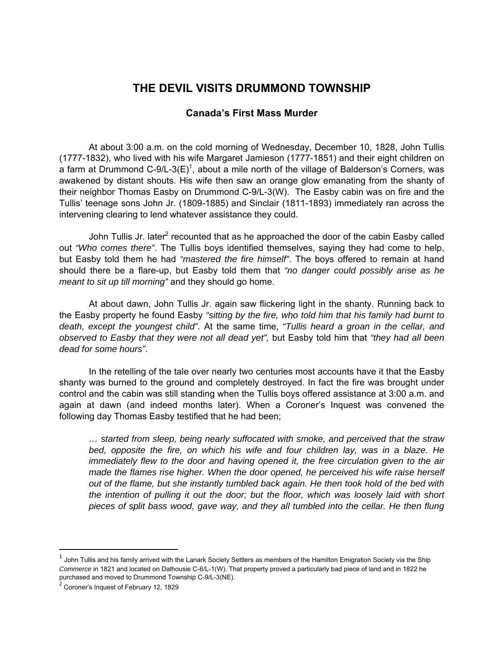## **THE DEVIL VISITS DRUMMOND TOWNSHIP**

## **Canada's First Mass Murder**

 At about 3:00 a.m. on the cold morning of Wednesday, December 10, 1828, John Tullis (1777-1832), who lived with his wife Margaret Jamieson (1777-1851) and their eight children on a farm at Drummond C-9/L-3(E)<sup>1</sup>, about a mile north of the village of Balderson's Corners, was awakened by distant shouts. His wife then saw an orange glow emanating from the shanty of their neighbor Thomas Easby on Drummond C-9/L-3(W). The Easby cabin was on fire and the Tullis' teenage sons John Jr. (1809-1885) and Sinclair (1811-1893) immediately ran across the intervening clearing to lend whatever assistance they could.

John Tullis Jr. later<sup>2</sup> recounted that as he approached the door of the cabin Easby called out *"Who comes there"*. The Tullis boys identified themselves, saying they had come to help, but Easby told them he had *"mastered the fire himself"*. The boys offered to remain at hand should there be a flare-up, but Easby told them that *"no danger could possibly arise as he meant to sit up till morning"* and they should go home.

 At about dawn, John Tullis Jr. again saw flickering light in the shanty. Running back to the Easby property he found Easby *"sitting by the fire, who told him that his family had burnt to death, except the youngest child"*. At the same time, *"Tullis heard a groan in the cellar, and observed to Easby that they were not all dead yet",* but Easby told him that *"they had all been dead for some hours"*.

 In the retelling of the tale over nearly two centuries most accounts have it that the Easby shanty was burned to the ground and completely destroyed. In fact the fire was brought under control and the cabin was still standing when the Tullis boys offered assistance at 3:00 a.m. and again at dawn (and indeed months later). When a Coroner's Inquest was convened the following day Thomas Easby testified that he had been;

*… started from sleep, being nearly suffocated with smoke, and perceived that the straw bed, opposite the fire, on which his wife and four children lay, was in a blaze. He immediately flew to the door and having opened it, the free circulation given to the air made the flames rise higher. When the door opened, he perceived his wife raise herself out of the flame, but she instantly tumbled back again. He then took hold of the bed with the intention of pulling it out the door; but the floor, which was loosely laid with short pieces of split bass wood, gave way, and they all tumbled into the cellar. He then flung* 

1

 $1$  John Tullis and his family arrived with the Lanark Society Settlers as members of the Hamilton Emigration Society via the Ship *Commerce* in 1821 and located on Dalhousie C-6/L-1(W). That property proved a particularly bad piece of land and in 1822 he purchased and moved to Drummond Township C-9/L-3(NE).

 $2$  Coroner's Inquest of February 12, 1829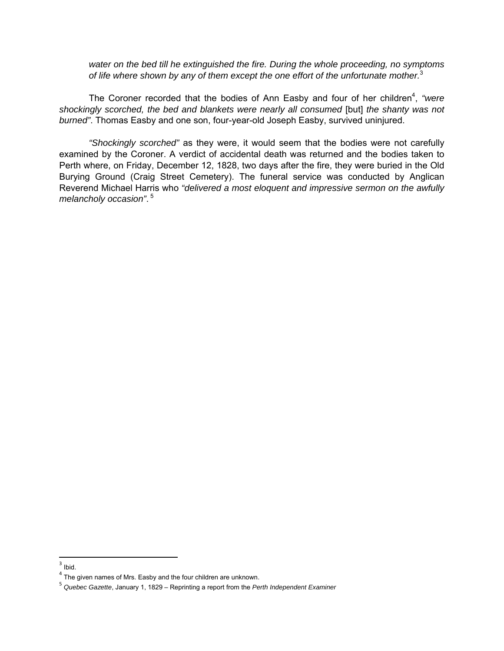*water on the bed till he extinguished the fire. During the whole proceeding, no symptoms of life where shown by any of them except the one effort of the unfortunate mother.*<sup>3</sup>

The Coroner recorded that the bodies of Ann Easby and four of her children<sup>4</sup>, "were *shockingly scorched, the bed and blankets were nearly all consumed* [but] *the shanty was not burned"*. Thomas Easby and one son, four-year-old Joseph Easby, survived uninjured.

*"Shockingly scorched"* as they were, it would seem that the bodies were not carefully examined by the Coroner. A verdict of accidental death was returned and the bodies taken to Perth where, on Friday, December 12, 1828, two days after the fire, they were buried in the Old Burying Ground (Craig Street Cemetery). The funeral service was conducted by Anglican Reverend Michael Harris who *"delivered a most eloquent and impressive sermon on the awfully melancholy occasion"*. 5

 $3$  Ibid.

 $4$  The given names of Mrs. Easby and the four children are unknown.

<sup>5</sup> *Quebec Gazette*, January 1, 1829 – Reprinting a report from the *Perth Independent Examiner*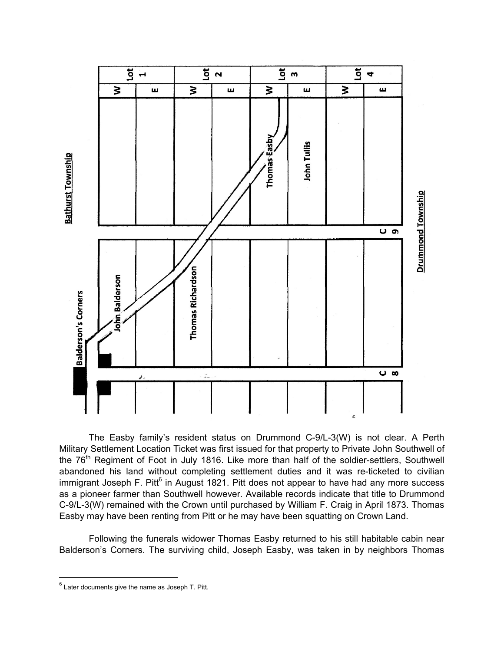

The Easby family's resident status on Drummond C-9/L-3(W) is not clear. A Perth Military Settlement Location Ticket was first issued for that property to Private John Southwell of the  $76<sup>th</sup>$  Regiment of Foot in July 1816. Like more than half of the soldier-settlers, Southwell abandoned his land without completing settlement duties and it was re-ticketed to civilian immigrant Joseph F. Pitt<sup>6</sup> in August 1821. Pitt does not appear to have had any more success as a pioneer farmer than Southwell however. Available records indicate that title to Drummond C-9/L-3(W) remained with the Crown until purchased by William F. Craig in April 1873. Thomas Easby may have been renting from Pitt or he may have been squatting on Crown Land.

Following the funerals widower Thomas Easby returned to his still habitable cabin near Balderson's Corners. The surviving child, Joseph Easby, was taken in by neighbors Thomas

 $<sup>6</sup>$  Later documents give the name as Joseph T. Pitt.</sup>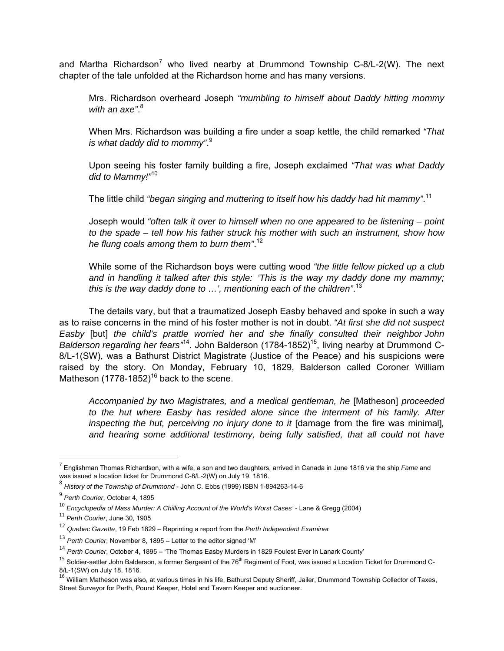and Martha Richardson<sup>7</sup> who lived nearby at Drummond Township C-8/L-2(W). The next chapter of the tale unfolded at the Richardson home and has many versions.

Mrs. Richardson overheard Joseph *"mumbling to himself about Daddy hitting mommy with an axe"*. 8

When Mrs. Richardson was building a fire under a soap kettle, the child remarked *"That is what daddy did to mommy"*. 9

Upon seeing his foster family building a fire, Joseph exclaimed *"That was what Daddy did to Mammy!"*<sup>10</sup>

The little child *"began singing and muttering to itself how his daddy had hit mammy"*. 11

Joseph would *"often talk it over to himself when no one appeared to be listening – point to the spade – tell how his father struck his mother with such an instrument, show how he flung coals among them to burn them"*. 12

While some of the Richardson boys were cutting wood *"the little fellow picked up a club and in handling it talked after this style: 'This is the way my daddy done my mammy; this is the way daddy done to …', mentioning each of the children"*. 13

The details vary, but that a traumatized Joseph Easby behaved and spoke in such a way as to raise concerns in the mind of his foster mother is not in doubt. *"At first she did not suspect Easby* [but] *the child's prattle worried her and she finally consulted their neighbor John Balderson regarding her fears*<sup>44</sup>. John Balderson (1784-1852)<sup>15</sup>, living nearby at Drummond C-8/L-1(SW), was a Bathurst District Magistrate (Justice of the Peace) and his suspicions were raised by the story. On Monday, February 10, 1829, Balderson called Coroner William Matheson  $(1778-1852)^{16}$  back to the scene.

*Accompanied by two Magistrates, and a medical gentleman, he* [Matheson] *proceeded to the hut where Easby has resided alone since the interment of his family. After inspecting the hut, perceiving no injury done to it* [damage from the fire was minimal]*, and hearing some additional testimony, being fully satisfied, that all could not have* 

1

<sup>7</sup> Englishman Thomas Richardson, with a wife, a son and two daughters, arrived in Canada in June 1816 via the ship *Fame* and was issued a location ticket for Drummond C-8/L-2(W) on July 19, 1816.

<sup>8</sup> *History of the Township of Drummond* - John C. Ebbs (1999) ISBN 1-894263-14-6

<sup>9</sup> *Perth Courier*, October 4, 1895

<sup>10</sup> *Encyclopedia of Mass Murder: A Chilling Account of the World's Worst Cases'* - Lane & Gregg (2004)

<sup>11</sup> *Perth Courier*, June 30, 1905

<sup>12</sup> *Quebec Gazette*, 19 Feb 1829 – Reprinting a report from the *Perth Independent Examiner*

<sup>13</sup> *Perth Courier*, November 8, 1895 – Letter to the editor signed 'M'

<sup>14</sup> *Perth Courier*, October 4, 1895 – 'The Thomas Easby Murders in 1829 Foulest Ever in Lanark County'

 $15$  Soldier-settler John Balderson, a former Sergeant of the 76<sup>th</sup> Regiment of Foot, was issued a Location Ticket for Drummond C-8/L-1(SW) on July 18, 1816.

<sup>&</sup>lt;sup>16</sup> William Matheson was also, at various times in his life, Bathurst Deputy Sheriff, Jailer, Drummond Township Collector of Taxes, Street Surveyor for Perth, Pound Keeper, Hotel and Tavern Keeper and auctioneer.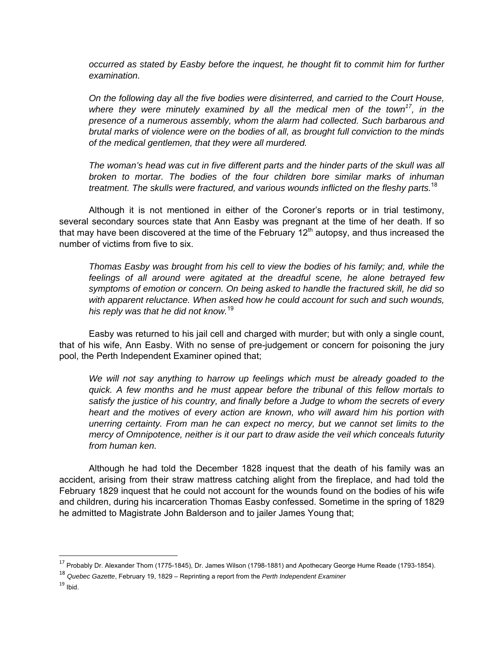*occurred as stated by Easby before the inquest, he thought fit to commit him for further examination.* 

*On the following day all the five bodies were disinterred, and carried to the Court House, where they were minutely examined by all the medical men of the town17, in the presence of a numerous assembly, whom the alarm had collected. Such barbarous and brutal marks of violence were on the bodies of all, as brought full conviction to the minds of the medical gentlemen, that they were all murdered.* 

*The woman's head was cut in five different parts and the hinder parts of the skull was all broken to mortar. The bodies of the four children bore similar marks of inhuman treatment. The skulls were fractured, and various wounds inflicted on the fleshy parts.*<sup>18</sup>

 Although it is not mentioned in either of the Coroner's reports or in trial testimony, several secondary sources state that Ann Easby was pregnant at the time of her death. If so that may have been discovered at the time of the February  $12<sup>th</sup>$  autopsy, and thus increased the number of victims from five to six.

*Thomas Easby was brought from his cell to view the bodies of his family; and, while the feelings of all around were agitated at the dreadful scene, he alone betrayed few symptoms of emotion or concern. On being asked to handle the fractured skill, he did so with apparent reluctance. When asked how he could account for such and such wounds, his reply was that he did not know.*<sup>19</sup>

Easby was returned to his jail cell and charged with murder; but with only a single count, that of his wife, Ann Easby. With no sense of pre-judgement or concern for poisoning the jury pool, the Perth Independent Examiner opined that;

We will not say anything to harrow up feelings which must be already goaded to the *quick. A few months and he must appear before the tribunal of this fellow mortals to satisfy the justice of his country, and finally before a Judge to whom the secrets of every heart and the motives of every action are known, who will award him his portion with unerring certainty. From man he can expect no mercy, but we cannot set limits to the mercy of Omnipotence, neither is it our part to draw aside the veil which conceals futurity from human ken.* 

Although he had told the December 1828 inquest that the death of his family was an accident, arising from their straw mattress catching alight from the fireplace, and had told the February 1829 inquest that he could not account for the wounds found on the bodies of his wife and children, during his incarceration Thomas Easby confessed. Sometime in the spring of 1829 he admitted to Magistrate John Balderson and to jailer James Young that;

 $\overline{\phantom{a}}$ 

<sup>&</sup>lt;sup>17</sup> Probably Dr. Alexander Thom (1775-1845), Dr. James Wilson (1798-1881) and Apothecary George Hume Reade (1793-1854).

<sup>18</sup> *Quebec Gazette*, February 19, 1829 – Reprinting a report from the *Perth Independent Examiner*

 $19$  Ibid.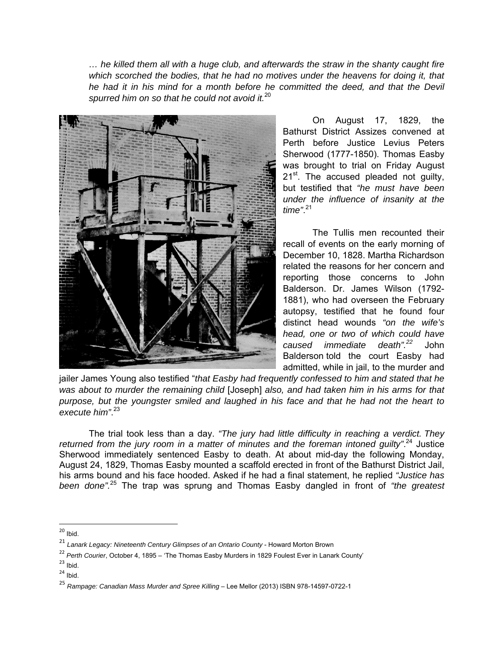*… he killed them all with a huge club, and afterwards the straw in the shanty caught fire*  which scorched the bodies, that he had no motives under the heavens for doing it, that *he had it in his mind for a month before he committed the deed, and that the Devil spurred him on so that he could not avoid it.*<sup>20</sup>



On August 17, 1829, the Bathurst District Assizes convened at Perth before Justice Levius Peters Sherwood (1777-1850). Thomas Easby was brought to trial on Friday August 21<sup>st</sup>. The accused pleaded not guilty, but testified that *"he must have been under the influence of insanity at the time"*. 21

The Tullis men recounted their recall of events on the early morning of December 10, 1828. Martha Richardson related the reasons for her concern and reporting those concerns to John Balderson. Dr. James Wilson (1792- 1881), who had overseen the February autopsy, testified that he found four distinct head wounds *"on the wife's head, one or two of which could have caused immediate death".<sup>22</sup>* John Balderson told the court Easby had admitted, while in jail, to the murder and

jailer James Young also testified "*that Easby had frequently confessed to him and stated that he was about to murder the remaining child* [Joseph] *also, and had taken him in his arms for that purpose, but the youngster smiled and laughed in his face and that he had not the heart to execute him"*. 23

The trial took less than a day. *"The jury had little difficulty in reaching a verdict. They*  returned from the jury room in a matter of minutes and the foreman intoned guilty".<sup>24</sup> Justice Sherwood immediately sentenced Easby to death. At about mid-day the following Monday, August 24, 1829, Thomas Easby mounted a scaffold erected in front of the Bathurst District Jail, his arms bound and his face hooded. Asked if he had a final statement, he replied *"Justice has been done".*<sup>25</sup> The trap was sprung and Thomas Easby dangled in front of *"the greatest* 

- $23$  Ibid.
- $24$  Ibid.

 $20$  Ibid.

<sup>21</sup> *Lanark Legacy: Nineteenth Century Glimpses of an Ontario County* - Howard Morton Brown

<sup>22</sup> *Perth Courier*, October 4, 1895 – 'The Thomas Easby Murders in 1829 Foulest Ever in Lanark County'

<sup>25</sup> *Rampage: Canadian Mass Murder and Spree Killing* – Lee Mellor (2013) ISBN 978-14597-0722-1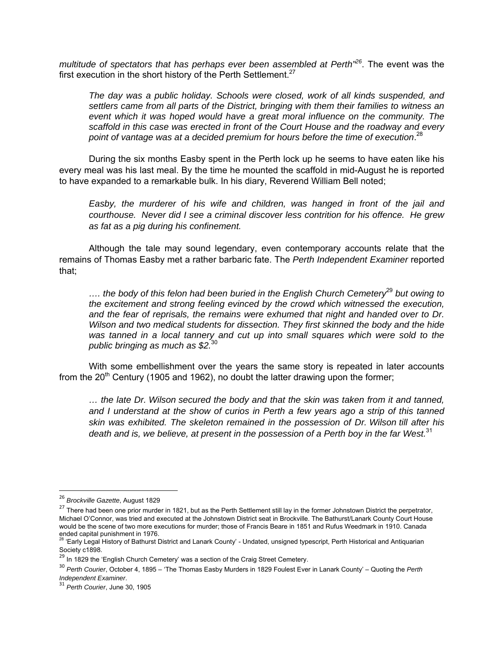*multitude of spectators that has perhaps ever been assembled at Perth"<sup>26</sup>*. The event was the first execution in the short history of the Perth Settlement. $27$ 

*The day was a public holiday. Schools were closed, work of all kinds suspended, and settlers came from all parts of the District, bringing with them their families to witness an event which it was hoped would have a great moral influence on the community. The scaffold in this case was erected in front of the Court House and the roadway and every point of vantage was at a decided premium for hours before the time of execution*. 28

During the six months Easby spent in the Perth lock up he seems to have eaten like his every meal was his last meal. By the time he mounted the scaffold in mid-August he is reported to have expanded to a remarkable bulk. In his diary, Reverend William Bell noted;

*Easby, the murderer of his wife and children, was hanged in front of the jail and courthouse. Never did I see a criminal discover less contrition for his offence. He grew as fat as a pig during his confinement.*

Although the tale may sound legendary, even contemporary accounts relate that the remains of Thomas Easby met a rather barbaric fate. The *Perth Independent Examiner* reported that;

*…. the body of this felon had been buried in the English Church Cemetery*<sup>29</sup> *but owing to the excitement and strong feeling evinced by the crowd which witnessed the execution, and the fear of reprisals, the remains were exhumed that night and handed over to Dr. Wilson and two medical students for dissection. They first skinned the body and the hide*  was tanned in a local tannery and cut up into small squares which were sold to the *public bringing as much as \$2.*30

With some embellishment over the years the same story is repeated in later accounts from the  $20<sup>th</sup>$  Century (1905 and 1962), no doubt the latter drawing upon the former;

*… the late Dr. Wilson secured the body and that the skin was taken from it and tanned, and I understand at the show of curios in Perth a few years ago a strip of this tanned skin was exhibited. The skeleton remained in the possession of Dr. Wilson till after his death and is, we believe, at present in the possession of a Perth boy in the far West.*<sup>31</sup>

<sup>26</sup> *Brockville Gazette*, August 1829

<sup>&</sup>lt;sup>27</sup> There had been one prior murder in 1821, but as the Perth Settlement still lay in the former Johnstown District the perpetrator, Michael O'Connor, was tried and executed at the Johnstown District seat in Brockville. The Bathurst/Lanark County Court House would be the scene of two more executions for murder; those of Francis Beare in 1851 and Rufus Weedmark in 1910. Canada

ended capital punishment in 1976.<br><sup>28</sup> 'Early Legal History of Bathurst District and Lanark County' - Undated, unsigned typescript, Perth Historical and Antiquarian Society c1898.

<sup>&</sup>lt;sup>29</sup> In 1829 the 'English Church Cemetery' was a section of the Craig Street Cemetery.

<sup>30</sup> *Perth Courier*, October 4, 1895 – 'The Thomas Easby Murders in 1829 Foulest Ever in Lanark County' – Quoting the *Perth* 

*Independent Examiner*. <sup>31</sup> *Perth Courier*, June 30, 1905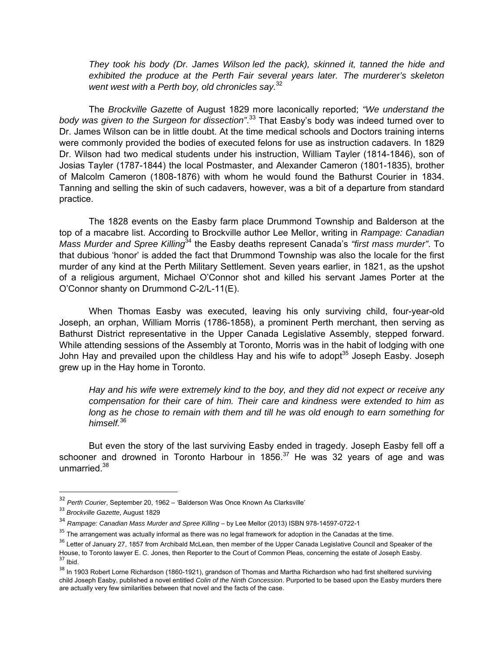*They took his body (Dr. James Wilson led the pack), skinned it, tanned the hide and exhibited the produce at the Perth Fair several years later. The murderer's skeleton went west with a Perth boy, old chronicles say.*32

The *Brockville Gazette* of August 1829 more laconically reported; *"We understand the body was given to the Surgeon for dissection"*. 33 That Easby's body was indeed turned over to Dr. James Wilson can be in little doubt. At the time medical schools and Doctors training interns were commonly provided the bodies of executed felons for use as instruction cadavers. In 1829 Dr. Wilson had two medical students under his instruction, William Tayler (1814-1846), son of Josias Tayler (1787-1844) the local Postmaster, and Alexander Cameron (1801-1835), brother of Malcolm Cameron (1808-1876) with whom he would found the Bathurst Courier in 1834. Tanning and selling the skin of such cadavers, however, was a bit of a departure from standard practice.

 The 1828 events on the Easby farm place Drummond Township and Balderson at the top of a macabre list. According to Brockville author Lee Mellor, writing in *Rampage: Canadian Mass Murder and Spree Killing*34 the Easby deaths represent Canada's *"first mass murder"*. To that dubious 'honor' is added the fact that Drummond Township was also the locale for the first murder of any kind at the Perth Military Settlement. Seven years earlier, in 1821, as the upshot of a religious argument, Michael O'Connor shot and killed his servant James Porter at the O'Connor shanty on Drummond C-2/L-11(E).

When Thomas Easby was executed, leaving his only surviving child, four-year-old Joseph, an orphan, William Morris (1786-1858), a prominent Perth merchant, then serving as Bathurst District representative in the Upper Canada Legislative Assembly, stepped forward. While attending sessions of the Assembly at Toronto, Morris was in the habit of lodging with one John Hay and prevailed upon the childless Hay and his wife to adopt<sup>35</sup> Joseph Easby. Joseph grew up in the Hay home in Toronto.

*Hay and his wife were extremely kind to the boy, and they did not expect or receive any compensation for their care of him. Their care and kindness were extended to him as long as he chose to remain with them and till he was old enough to earn something for himself.*<sup>36</sup>

But even the story of the last surviving Easby ended in tragedy. Joseph Easby fell off a schooner and drowned in Toronto Harbour in 1856. $37$  He was 32 years of age and was unmarried.<sup>38</sup>

 $\overline{\phantom{a}}$ 

<sup>32</sup> *Perth Courier*, September 20, 1962 – 'Balderson Was Once Known As Clarksville'

<sup>33</sup> *Brockville Gazette*, August 1829

<sup>34</sup> *Rampage: Canadian Mass Murder and Spree Killing* – by Lee Mellor (2013) ISBN 978-14597-0722-1

 $35$  The arrangement was actually informal as there was no legal framework for adoption in the Canadas at the time.

<sup>&</sup>lt;sup>36</sup> Letter of January 27, 1857 from Archibald McLean, then member of the Upper Canada Legislative Council and Speaker of the House, to Toronto lawyer E. C. Jones, then Reporter to the Court of Common Pleas, concerning the estate of Joseph Easby.<br><sup>37</sup> Ibid.

<sup>&</sup>lt;sup>38</sup> In 1903 Robert Lorne Richardson (1860-1921), grandson of Thomas and Martha Richardson who had first sheltered surviving child Joseph Easby, published a novel entitled *Colin of the Ninth Concession*. Purported to be based upon the Easby murders there are actually very few similarities between that novel and the facts of the case.